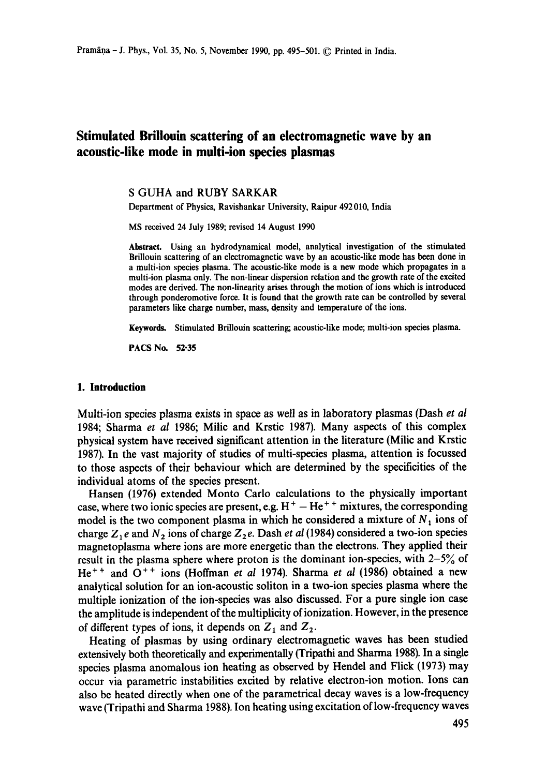# **Stimulated Briliouin scattering of an electromagnetic wave by an acous•-like mode in multi-ion species plasmas**

#### **S** GUHA and RUBY SARKAR

Department of Physics, Ravishankar University, Raipur 492010, India

MS received 24 July 1989; revised 14 August 1990

Abstract. Using an hydrodynamical model, analytical investigation of the stimulated Brillouin scattering of an electromagnetic wave by an acoustic-like mode has been done in a multi-ion species plasma. The acoustic-like mode is a new mode which propagates in a multi-ion plasma only. The non-linear dispersion relation and the growth rate of the excited modes are derived. The non-linearity arises through the motion of ions which is introduced through ponderomotive force. It is found that the growth rate can be controlled by several parameters like charge number, mass, density and temperature of the ions.

Keywords. Stimulated Brillouin scattering; acoustic-like mode; multi-ion species plasma.

PACS No. **52-35** 

#### **1. Introduction**

Multi-ion species plasma exists in space as well as in laboratory plasmas (Dash *et al*  1984; Sharma *et al* 1986; Milic and Krstic 1987). Many aspects of this complex physical system have received significant attention in the literature (Milic and Krstic 1987). In the vast majority of studies of multi-species plasma, attention is focussed to those aspects of their behaviour which are determined by the specificities of the individual atoms of the species present.

Hansen (1976) extended Monto Carlo calculations to the physically important case, where two ionic species are present, e.g.  $H<sup>+</sup> - He<sup>++</sup>$  mixtures, the corresponding model is the two component plasma in which he considered a mixture of  $N_1$  ions of charge  $Z_1 e$  and  $N_2$  ions of charge  $Z_2 e$ . Dash *et al* (1984) considered a two-ion species magnetoplasma where ions are more energetic than the electrons. They applied their result in the plasma sphere where proton is the dominant ion-species, with  $2-5\%$  of He<sup>++</sup> and O<sup>++</sup> ions (Hoffman *et al* 1974). Sharma *et al* (1986) obtained a new analytical solution for an ion-acoustic soliton in a two-ion species plasma where the multiple ionization of the ion-species was also discussed. For a pure single ion case the amplitude is independent of the multiplicity of ionization. However, in the presence of different types of ions, it depends on  $Z_1$  and  $Z_2$ .

Heating of plasmas by using ordinary electromagnetic waves has been studied extensively both theoretically and experimentally (Tripathi and Sharma 1988). In a single species plasma anomalous ion heating as observed by Hendel and Flick (1973) may occur via parametric instabilities excited by relative electron-ion motion. Ions can also be heated directly when one of the parametrical decay waves is a low-frequency wave (Tripathi and Sharma 1988). Ion heating using excitation of low-frequency waves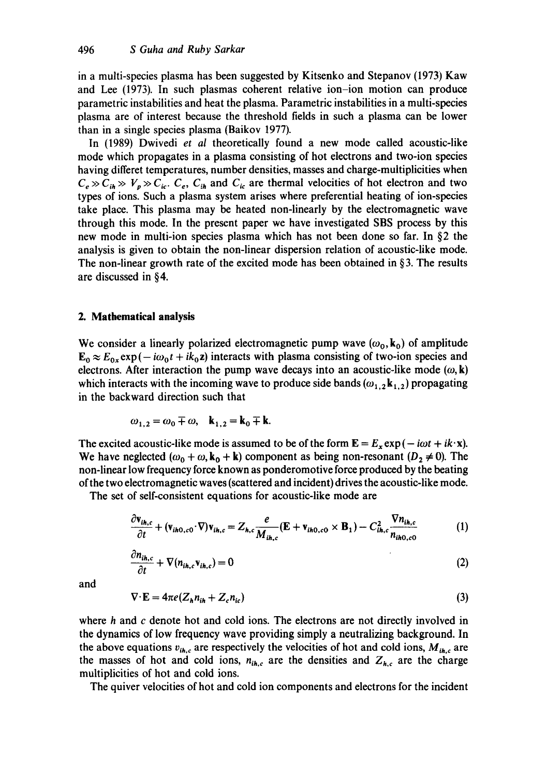in a multi-species plasma has been suggested by Kitsenko and Stepanov (1973) Kaw and Lee (1973). In such plasmas coherent relative ion-ion motion can produce parametric instabilities and heat the plasma. Parametric instabilities in a multi-species plasma are of interest because the threshold fields in such a plasma can be lower than in a single species plasma (Baikov 1977).

In (1989) Dwivedi *et al* theoretically found a new mode called acoustic-like mode which propagates in a plasma consisting of hot electrons and two-ion species having differet temperatures, number densities, masses and charge-multiplicities when  $C_e \gg C_{ih} \gg V_p \gg C_{ic}$ .  $C_e$ ,  $C_{ih}$  and  $C_{ic}$  are thermal velocities of hot electron and two types of ions. Such a plasma system arises where preferential heating of ion-species take place. This plasma may be heated non-linearly by the electromagnetic wave through this mode. In the present paper we have investigated SBS process by this new mode in multi-ion species plasma which has not been done so far. In §2 the analysis is given to obtain the non-linear dispersion relation of acoustic-like mode. The non-linear growth rate of the excited mode has been obtained in  $\S$ 3. The results are discussed in §4.

## **2. Mathematical analysis**

We consider a linearly polarized electromagnetic pump wave  $(\omega_0, k_0)$  of amplitude  $\mathbf{E}_0 \approx E_{0x} \exp(-i\omega_0 t + i k_0 z)$  interacts with plasma consisting of two-ion species and electrons. After interaction the pump wave decays into an acoustic-like mode  $(\omega, \mathbf{k})$ which interacts with the incoming wave to produce side bands ( $\omega_{1,2}$  k<sub>1,2</sub>) propagating in the backward direction such that

$$
\omega_{1,2} = \omega_0 \mp \omega, \quad \mathbf{k}_{1,2} = \mathbf{k}_0 \mp \mathbf{k}.
$$

The excited acoustic-like mode is assumed to be of the form  $\mathbf{E} = E_x \exp(-i\omega t + i\mathbf{k} \cdot \mathbf{x})$ . We have neglected  $(\omega_0 + \omega, k_0 + k)$  component as being non-resonant  $(D_2 \neq 0)$ . The non-linear low frequency force known as ponderomotive force produced by the beating of the two electromagnetic waves (scattered and incident) drives the acoustic-like mode.

The set of self-consistent equations for acoustic-like mode are

$$
\frac{\partial \mathbf{v}_{ih,c}}{\partial t} + (\mathbf{v}_{ih0,c0} \cdot \nabla) \mathbf{v}_{ih,c} = Z_{h,c} \frac{e}{M_{ih,c}} (\mathbf{E} + \mathbf{v}_{ih0,c0} \times \mathbf{B}_1) - C_{ih,c}^2 \frac{\nabla n_{ih,c}}{n_{ih0,c0}}
$$
(1)

$$
\frac{\partial n_{ih,c}}{\partial t} + \nabla (n_{ih,c} \mathbf{v}_{ih,c}) = 0
$$
\n(2)

and

$$
\nabla \cdot \mathbf{E} = 4\pi e (Z_h n_{ih} + Z_c n_{ic})
$$
\n(3)

where h and c denote hot and cold ions. The electrons are not directly involved in the dynamics of low frequency wave providing simply a neutralizing background. In the above equations  $v_{ih,c}$  are respectively the velocities of hot and cold ions,  $M_{ih,c}$  are the masses of hot and cold ions,  $n_{ih,c}$  are the densities and  $Z_{h,c}$  are the charge multiplicities of hot and cold ions.

The quiver velocities of hot and cold ion components and electrons for the incident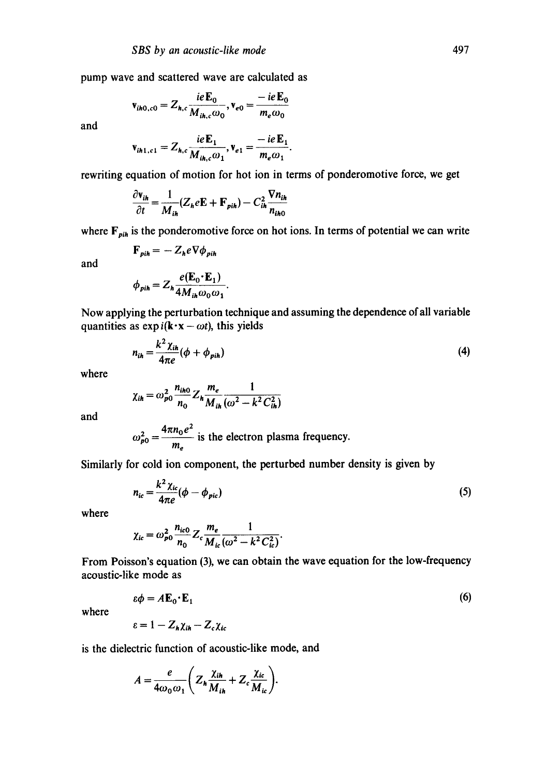pump wave and scattered wave are calculated as

$$
\mathbf{v}_{ih0,c0} = Z_{h,c} \frac{ie\mathbf{E}_0}{M_{ih,c}\omega_0}, \mathbf{v}_{e0} = \frac{-ie\mathbf{E}_0}{m_e\omega_0}
$$

and

$$
\mathbf{v}_{ih1,c1} = Z_{h,c} \frac{ie \mathbf{E}_1}{M_{ih,c} \omega_1}, \mathbf{v}_{e1} = \frac{-ie \mathbf{E}_1}{m_e \omega_1}.
$$

rewriting equation of motion for hot ion in terms of ponderomotive force, we get

$$
\frac{\partial \mathbf{v}_{ih}}{\partial t} = \frac{1}{M_{ih}} (Z_h e \mathbf{E} + \mathbf{F}_{pih}) - C_{ih}^2 \frac{\nabla n_{ih}}{n_{ih0}}
$$

where  $F_{pi}$  is the ponderomotive force on hot ions. In terms of potential we can write

$$
\mathbf{F}_{\mathit{pin}}=-\,Z_{\mathit{h}}e\nabla\phi_{\mathit{pin}}
$$

and

$$
\phi_{pi} = Z_h \frac{e(\mathbf{E}_0 \cdot \mathbf{E}_1)}{4 M_{ih} \omega_0 \omega_1}.
$$

Now applying the perturbation technique and assuming the dependence of all variable quantities as  $exp i(k \cdot x - \omega t)$ , this yields

$$
n_{ih} = \frac{k^2 \chi_{ih}}{4\pi e} (\phi + \phi_{pi})
$$
 (4)

where

$$
\chi_{ih} = \omega_{p0}^2 \frac{n_{ih0}}{n_0} Z_h \frac{m_e}{M_{ih}} \frac{1}{(\omega^2 - k^2 C_{ih}^2)}
$$

and

$$
\omega_{p0}^2 = \frac{4\pi n_0 e^2}{m_e}
$$
 is the electron plasma frequency.

Similarly for cold ion component, the perturbed number density is given by

$$
n_{ic} = \frac{k^2 \chi_{ic}}{4\pi e} (\phi - \phi_{pic})
$$
 (5)

where

$$
\chi_{ic} = \omega_{p0}^2 \frac{n_{ic0}}{n_0} Z_c \frac{m_e}{M_{ic}} \frac{1}{(\omega^2 - k^2 C_{ic}^2)}.
$$

From Poisson's equation (3), we can obtain the wave equation for the low-frequency acoustic-like mode as

> $\varepsilon \phi = A \mathbf{E}_0 \cdot \mathbf{E}_1$ (6)

where

$$
\varepsilon = 1 - Z_h \chi_{ih} - Z_c \chi_{ic}
$$

is the dielectric function of acoustic-like mode, and

$$
A=\frac{e}{4\omega_0\omega_1}\bigg(Z_h\frac{\chi_{ih}}{M_{ih}}+Z_c\frac{\chi_{ic}}{M_{ic}}\bigg).
$$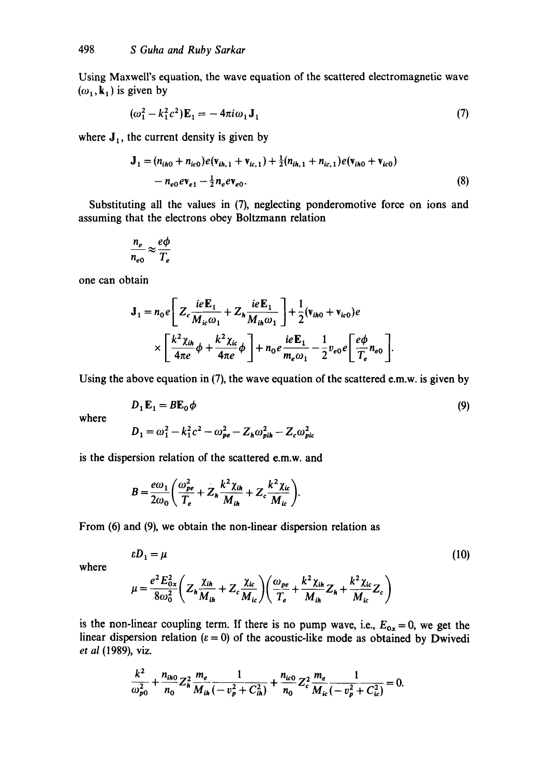Using Maxwell's equation, the wave equation of the scattered electromagnetic wave  $(\omega_1, \mathbf{k}_1)$  is given by

$$
(\omega_1^2 - k_1^2 c^2) \mathbf{E}_1 = -4\pi i \omega_1 \mathbf{J}_1 \tag{7}
$$

where  $J_1$ , the current density is given by

$$
\mathbf{J}_1 = (n_{ih0} + n_{ic0})e(\mathbf{v}_{ih,1} + \mathbf{v}_{ic,1}) + \frac{1}{2}(n_{ih,1} + n_{ic,1})e(\mathbf{v}_{ih0} + \mathbf{v}_{ic0}) - n_{e0}e\mathbf{v}_{e1} - \frac{1}{2}n_e\mathbf{v}_{e0}.
$$
\n(8)

Substituting all the values in (7), neglecting ponderomotive force on ions and assuming that the electrons obey Boltzmann relation

$$
\frac{n_e}{n_{e0}} \approx \frac{e\phi}{T_e}
$$

one can obtain

$$
\mathbf{J}_1 = n_0 e \left[ Z_c \frac{i e \mathbf{E}_1}{M_{ic} \omega_1} + Z_h \frac{i e \mathbf{E}_1}{M_{in} \omega_1} \right] + \frac{1}{2} (\mathbf{v}_{ih0} + \mathbf{v}_{ic0}) e
$$
  
 
$$
\times \left[ \frac{k^2 \chi_{ih}}{4 \pi e} \phi + \frac{k^2 \chi_{ic}}{4 \pi e} \phi \right] + n_0 e \frac{i e \mathbf{E}_1}{m_e \omega_1} - \frac{1}{2} v_{e0} e \left[ \frac{e \phi}{T_e} n_{e0} \right].
$$

Using the above equation in (7), the wave equation of the scattered e.m.w, is given by

$$
D_1 \mathbf{E}_1 = B \mathbf{E}_0 \phi
$$
\n
$$
D_1 = \omega^2 - k^2 \omega^2 - \omega^2 \omega^2 - Z \omega^2 - Z \omega^2 \omega^2
$$
\n(9)

where

$$
D_1 = \omega_1^2 - k_1^2 c^2 - \omega_{pe}^2 - Z_h \omega_{pih}^2 - Z_c \omega_{pic}^2
$$

is the dispersion relation of the scattered e.m.w, and

$$
B=\frac{e\omega_1}{2\omega_0}\bigg(\frac{\omega_{pe}^2}{T_e}+Z_h\frac{k^2\chi_{ih}}{M_{ih}}+Z_c\frac{k^2\chi_{ic}}{M_{ic}}\bigg).
$$

From (6) and (9), we obtain the non-linear dispersion relation as

$$
\varepsilon D_1 = \mu \tag{10}
$$

where

$$
\mu = \frac{e^2 E_{0x}^2}{8\omega_0^2} \bigg(Z_h \frac{\chi_{ih}}{M_{ih}} + Z_c \frac{\chi_{ic}}{M_{ic}} \bigg) \bigg(\frac{\omega_{pe}}{T_e} + \frac{k^2 \chi_{ih}}{M_{ih}} Z_h + \frac{k^2 \chi_{ic}}{M_{ic}} Z_c \bigg)
$$

is the non-linear coupling term. If there is no pump wave, i.e.,  $E_{0x} = 0$ , we get the linear dispersion relation ( $\varepsilon = 0$ ) of the acoustic-like mode as obtained by Dwivedi *et al* (1989), viz.

$$
\frac{k^2}{\omega_{p0}^2} + \frac{n_{ih0}}{n_0} Z_h^2 \frac{m_e}{M_{ih}} \frac{1}{(-v_p^2 + C_{ih}^2)} + \frac{n_{ic0}}{n_0} Z_c^2 \frac{m_e}{M_{ic}} \frac{1}{(-v_p^2 + C_{ic}^2)} = 0.
$$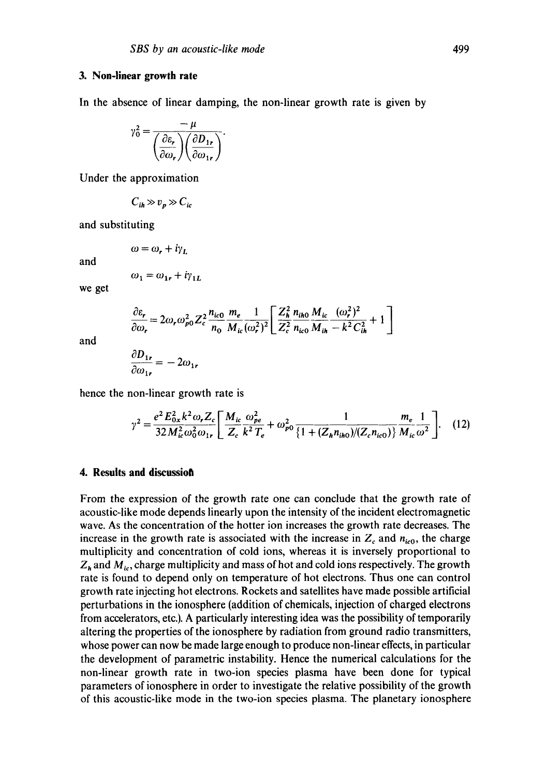#### **3. Non-linear growth rate**

In the absence of linear damping, the non-linear growth rate is given by

$$
\gamma_0^2 = \frac{-\mu}{\left(\frac{\partial \varepsilon_r}{\partial \omega_r}\right) \left(\frac{\partial D_{1r}}{\partial \omega_{1r}}\right)}.
$$

Under the approximation

$$
C_{ih} \gg v_p \gg C_{ic}
$$

and substituting

$$
\omega = \omega_r + i\gamma_L
$$

and

$$
\omega_1 = \omega_{1r} + i\gamma_{1L}
$$

we get

$$
\frac{\partial \varepsilon_r}{\partial \omega_r} = 2\omega_r \omega_{p0}^2 Z_c^2 \frac{n_{ic0}}{n_0} \frac{m_e}{M_{ic}} \frac{1}{(\omega_r^2)^2} \left[ \frac{Z_h^2}{Z_c^2} \frac{n_{ih0}}{n_{ic0}} \frac{M_{ic}}{M_{ih}} \frac{(\omega_r^2)^2}{-k^2 C_{ih}^2} + 1 \right]
$$
  
∂D.

and

$$
\frac{\partial D_{1r}}{\partial \omega_{1r}} = -2\omega_{1r}
$$

hence the non-linear growth rate is

$$
\gamma^2 = \frac{e^2 E_{0x}^2 k^2 \omega_r Z_c}{32 M_{ic}^2 \omega_0^2 \omega_{1r}} \left[ \frac{M_{ic}}{Z_c} \frac{\omega_{pe}^2}{k^2 T_e} + \omega_{p0}^2 \frac{1}{\left\{1 + (Z_h n_{ih0})/(Z_c n_{ic0})\right\}} \frac{m_e}{M_{ic}} \frac{1}{\omega^2} \right].
$$
 (12)

## **4. Results and discussion**

From the expression of the growth rate one can conclude that the growth rate of acoustic-like mode depends linearly upon the intensity of the incident electromagnetic wave. As the concentration of the hotter ion increases the growth rate decreases. The increase in the growth rate is associated with the increase in  $Z_c$  and  $n_{ic0}$ , the charge multiplicity and concentration of cold ions, whereas it is inversely proportional to  $Z_h$  and  $M_{ic}$ , charge multiplicity and mass of hot and cold ions respectively. The growth rate is found to depend only on temperature of hot electrons. Thus one can control growth rate injecting hot electrons. Rockets and satellites have made possible artificial perturbations in the ionosphere (addition of chemicals, injection of charged electrons from accelerators, etc.). A particularly interesting idea was the possibility of temporarily altering the properties of the ionosphere by radiation from ground radio transmitters, whose power can now be made large enough to produce non-linear effects, in particular the development of parametric instability. Hence the numerical calculations for the non-linear growth rate in two-ion species plasma have been done for typical parameters of ionosphere in order to investigate the relative possibility of the growth of this acoustic-like mode in the two-ion species plasma. The planetary ionosphere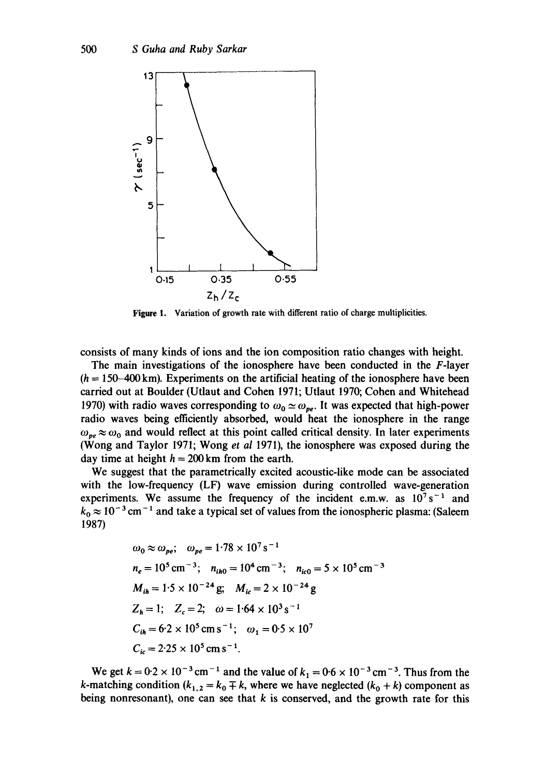

**Figure 1.**  Variation of growth rate with different ratio of charge multiplicities.

consists of many kinds of ions and the ion composition ratio changes with height.

The main investigations of the ionosphere have been conducted in the F-layer  $(h = 150-400 \text{ km})$ . Experiments on the artificial heating of the ionosphere have been carried out at Boulder (Utlaut and Cohen 1971; Utlaut 1970; Cohen and Whitehead 1970) with radio waves corresponding to  $\omega_0 \simeq \omega_{pe}$ . It was expected that high-power radio waves being efficiently absorbed, would heat the ionosphere in the range  $\omega_{pe} \approx \omega_0$  and would reflect at this point called critical density. In later experiments (Wong and Taylor 1971; Wong *et al* 1971), the ionosphere was exposed during the day time at height  $h = 200$  km from the earth.

We suggest that the parametrically excited acoustic-like mode can be associated with the low-frequency (LF) wave emission during controlled wave-generation experiments. We assume the frequency of the incident e.m.w. as  $10^7 s^{-1}$  and  $k_0 \approx 10^{-3}$  cm<sup>-1</sup> and take a typical set of values from the ionospheric plasma: (Saleem 1987)

$$
\omega_0 \approx \omega_{pe}; \quad \omega_{pe} = 1.78 \times 10^7 \text{ s}^{-1}
$$
\n
$$
n_e = 10^5 \text{ cm}^{-3}; \quad n_{ih0} = 10^4 \text{ cm}^{-3}; \quad n_{ic0} = 5 \times 10^5 \text{ cm}^{-3}
$$
\n
$$
M_{ih} = 1.5 \times 10^{-24} \text{ g}; \quad M_{ic} = 2 \times 10^{-24} \text{ g}
$$
\n
$$
Z_h = 1; \quad Z_c = 2; \quad \omega = 1.64 \times 10^3 \text{ s}^{-1}
$$
\n
$$
C_{ih} = 6.2 \times 10^5 \text{ cm s}^{-1}; \quad \omega_1 = 0.5 \times 10^7
$$
\n
$$
C_{ic} = 2.25 \times 10^5 \text{ cm s}^{-1}.
$$

We get  $k = 0.2 \times 10^{-3}$  cm<sup>-1</sup> and the value of  $k_1 = 0.6 \times 10^{-3}$  cm<sup>-3</sup>. Thus from the k-matching condition ( $k_{1,2} = k_0 \mp k$ , where we have neglected ( $k_0 + k$ ) component as being nonresonant), one can see that  $k$  is conserved, and the growth rate for this